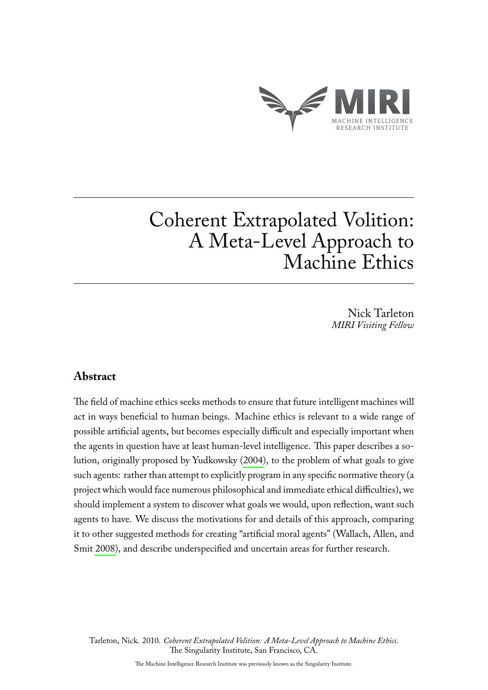

# Coherent Extrapolated Volition: A Meta-Level Approach to Machine Ethics

Nick Tarleton *MIRI Visiting Fellow*

## **Abstract**

The field of machine ethics seeks methods to ensure that future intelligent machines will act in ways beneficial to human beings. Machine ethics is relevant to a wide range of possible artificial agents, but becomes especially difficult and especially important when the agents in question have at least human-level intelligence. This paper describes a solution, originally proposed by Yudkowsky [\(2004\)](#page-9-0), to the problem of what goals to give such agents: rather than attempt to explicitly program in any specific normative theory (a project which would face numerous philosophical and immediate ethical difficulties), we should implement a system to discover what goals we would, upon reflection, want such agents to have. We discuss the motivations for and details of this approach, comparing it to other suggested methods for creating "artificial moral agents" (Wallach, Allen, and Smit [2008\)](#page-8-0), and describe underspecified and uncertain areas for further research.

Tarleton, Nick. 2010. *Coherent Extrapolated Volition: A Meta-Level Approach to Machine Ethics*. The Singularity Institute, San Francisco, CA.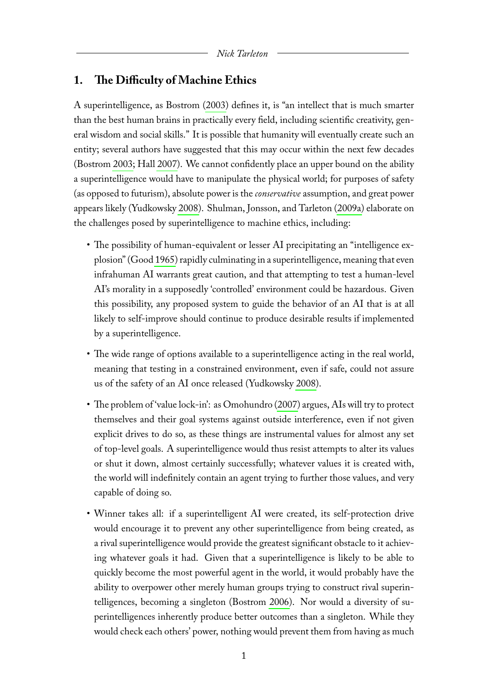## **1. The Difficulty of Machine Ethics**

A superintelligence, as Bostrom [\(2003\)](#page-8-1) defines it, is "an intellect that is much smarter than the best human brains in practically every field, including scientific creativity, general wisdom and social skills." It is possible that humanity will eventually create such an entity; several authors have suggested that this may occur within the next few decades (Bostrom [2003;](#page-8-1) Hall [2007\)](#page-8-2). We cannot confidently place an upper bound on the ability a superintelligence would have to manipulate the physical world; for purposes of safety (as opposed to futurism), absolute power is the *conservative* assumption, and great power appears likely (Yudkowsky [2008\)](#page-9-1). Shulman, Jonsson, and Tarleton [\(2009a\)](#page-8-3) elaborate on the challenges posed by superintelligence to machine ethics, including:

- The possibility of human-equivalent or lesser AI precipitating an "intelligence explosion" (Good [1965\)](#page-8-4) rapidly culminating in a superintelligence, meaning that even infrahuman AI warrants great caution, and that attempting to test a human-level AI's morality in a supposedly 'controlled' environment could be hazardous. Given this possibility, any proposed system to guide the behavior of an AI that is at all likely to self-improve should continue to produce desirable results if implemented by a superintelligence.
- The wide range of options available to a superintelligence acting in the real world, meaning that testing in a constrained environment, even if safe, could not assure us of the safety of an AI once released (Yudkowsky [2008\)](#page-9-1).
- The problem of 'value lock-in': as Omohundro [\(2007\)](#page-8-5) argues, AIs will try to protect themselves and their goal systems against outside interference, even if not given explicit drives to do so, as these things are instrumental values for almost any set of top-level goals. A superintelligence would thus resist attempts to alter its values or shut it down, almost certainly successfully; whatever values it is created with, the world will indefinitely contain an agent trying to further those values, and very capable of doing so.
- Winner takes all: if a superintelligent AI were created, its self-protection drive would encourage it to prevent any other superintelligence from being created, as a rival superintelligence would provide the greatest significant obstacle to it achieving whatever goals it had. Given that a superintelligence is likely to be able to quickly become the most powerful agent in the world, it would probably have the ability to overpower other merely human groups trying to construct rival superintelligences, becoming a singleton (Bostrom [2006\)](#page-8-6). Nor would a diversity of superintelligences inherently produce better outcomes than a singleton. While they would check each others' power, nothing would prevent them from having as much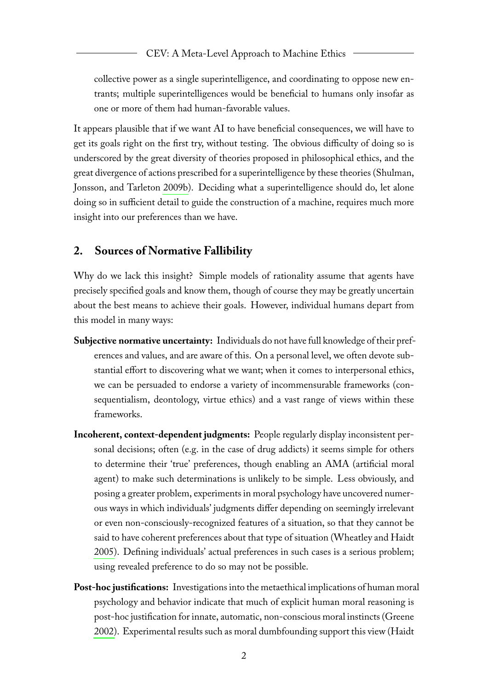collective power as a single superintelligence, and coordinating to oppose new entrants; multiple superintelligences would be beneficial to humans only insofar as one or more of them had human-favorable values.

It appears plausible that if we want AI to have beneficial consequences, we will have to get its goals right on the first try, without testing. The obvious difficulty of doing so is underscored by the great diversity of theories proposed in philosophical ethics, and the great divergence of actions prescribed for a superintelligence by these theories (Shulman, Jonsson, and Tarleton [2009b\)](#page-8-7). Deciding what a superintelligence should do, let alone doing so in sufficient detail to guide the construction of a machine, requires much more insight into our preferences than we have.

## **2. Sources of Normative Fallibility**

Why do we lack this insight? Simple models of rationality assume that agents have precisely specified goals and know them, though of course they may be greatly uncertain about the best means to achieve their goals. However, individual humans depart from this model in many ways:

- **Subjective normative uncertainty:** Individuals do not have full knowledge of their preferences and values, and are aware of this. On a personal level, we often devote substantial effort to discovering what we want; when it comes to interpersonal ethics, we can be persuaded to endorse a variety of incommensurable frameworks (consequentialism, deontology, virtue ethics) and a vast range of views within these frameworks.
- **Incoherent, context-dependent judgments:** People regularly display inconsistent personal decisions; often (e.g. in the case of drug addicts) it seems simple for others to determine their 'true' preferences, though enabling an AMA (artificial moral agent) to make such determinations is unlikely to be simple. Less obviously, and posing a greater problem, experiments in moral psychology have uncovered numerous ways in which individuals' judgments differ depending on seemingly irrelevant or even non-consciously-recognized features of a situation, so that they cannot be said to have coherent preferences about that type of situation (Wheatley and Haidt [2005\)](#page-9-2). Defining individuals' actual preferences in such cases is a serious problem; using revealed preference to do so may not be possible.
- **Post-hoc justifications:** Investigations into the metaethical implications of human moral psychology and behavior indicate that much of explicit human moral reasoning is post-hoc justification for innate, automatic, non-conscious moral instincts (Greene [2002\)](#page-8-8). Experimental results such as moral dumbfounding support this view (Haidt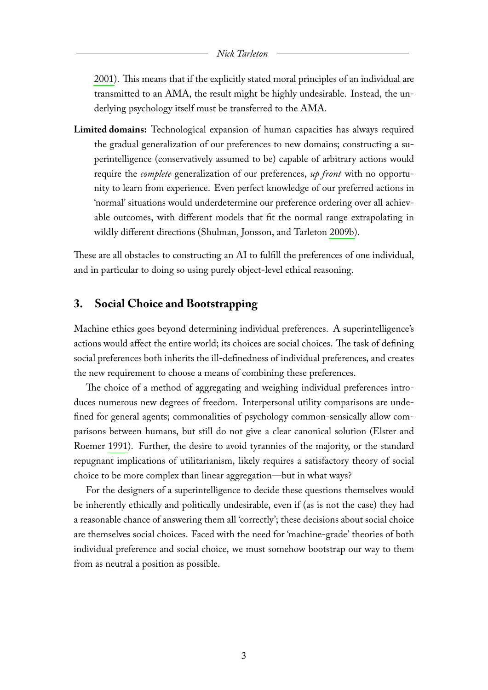#### *Nick Tarleton*

[2001\)](#page-8-9). This means that if the explicitly stated moral principles of an individual are transmitted to an AMA, the result might be highly undesirable. Instead, the underlying psychology itself must be transferred to the AMA.

**Limited domains:** Technological expansion of human capacities has always required the gradual generalization of our preferences to new domains; constructing a superintelligence (conservatively assumed to be) capable of arbitrary actions would require the *complete* generalization of our preferences, *up front* with no opportunity to learn from experience. Even perfect knowledge of our preferred actions in 'normal' situations would underdetermine our preference ordering over all achievable outcomes, with different models that fit the normal range extrapolating in wildly different directions (Shulman, Jonsson, and Tarleton [2009b\)](#page-8-7).

These are all obstacles to constructing an AI to fulfill the preferences of one individual, and in particular to doing so using purely object-level ethical reasoning.

#### **3. Social Choice and Bootstrapping**

Machine ethics goes beyond determining individual preferences. A superintelligence's actions would affect the entire world; its choices are social choices. The task of defining social preferences both inherits the ill-definedness of individual preferences, and creates the new requirement to choose a means of combining these preferences.

The choice of a method of aggregating and weighing individual preferences introduces numerous new degrees of freedom. Interpersonal utility comparisons are undefined for general agents; commonalities of psychology common-sensically allow comparisons between humans, but still do not give a clear canonical solution (Elster and Roemer [1991\)](#page-8-10). Further, the desire to avoid tyrannies of the majority, or the standard repugnant implications of utilitarianism, likely requires a satisfactory theory of social choice to be more complex than linear aggregation—but in what ways?

For the designers of a superintelligence to decide these questions themselves would be inherently ethically and politically undesirable, even if (as is not the case) they had a reasonable chance of answering them all 'correctly'; these decisions about social choice are themselves social choices. Faced with the need for 'machine-grade' theories of both individual preference and social choice, we must somehow bootstrap our way to them from as neutral a position as possible.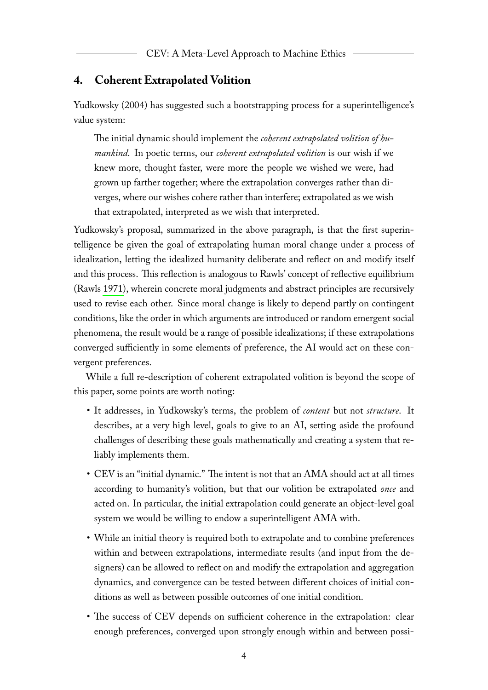## **4. Coherent Extrapolated Volition**

Yudkowsky [\(2004\)](#page-9-0) has suggested such a bootstrapping process for a superintelligence's value system:

The initial dynamic should implement the *coherent extrapolated volition of humankind*. In poetic terms, our *coherent extrapolated volition* is our wish if we knew more, thought faster, were more the people we wished we were, had grown up farther together; where the extrapolation converges rather than diverges, where our wishes cohere rather than interfere; extrapolated as we wish that extrapolated, interpreted as we wish that interpreted.

Yudkowsky's proposal, summarized in the above paragraph, is that the first superintelligence be given the goal of extrapolating human moral change under a process of idealization, letting the idealized humanity deliberate and reflect on and modify itself and this process. This reflection is analogous to Rawls' concept of reflective equilibrium (Rawls [1971\)](#page-8-11), wherein concrete moral judgments and abstract principles are recursively used to revise each other. Since moral change is likely to depend partly on contingent conditions, like the order in which arguments are introduced or random emergent social phenomena, the result would be a range of possible idealizations; if these extrapolations converged sufficiently in some elements of preference, the AI would act on these convergent preferences.

While a full re-description of coherent extrapolated volition is beyond the scope of this paper, some points are worth noting:

- It addresses, in Yudkowsky's terms, the problem of *content* but not *structure*. It describes, at a very high level, goals to give to an AI, setting aside the profound challenges of describing these goals mathematically and creating a system that reliably implements them.
- CEV is an "initial dynamic." The intent is not that an AMA should act at all times according to humanity's volition, but that our volition be extrapolated *once* and acted on. In particular, the initial extrapolation could generate an object-level goal system we would be willing to endow a superintelligent AMA with.
- While an initial theory is required both to extrapolate and to combine preferences within and between extrapolations, intermediate results (and input from the designers) can be allowed to reflect on and modify the extrapolation and aggregation dynamics, and convergence can be tested between different choices of initial conditions as well as between possible outcomes of one initial condition.
- The success of CEV depends on sufficient coherence in the extrapolation: clear enough preferences, converged upon strongly enough within and between possi-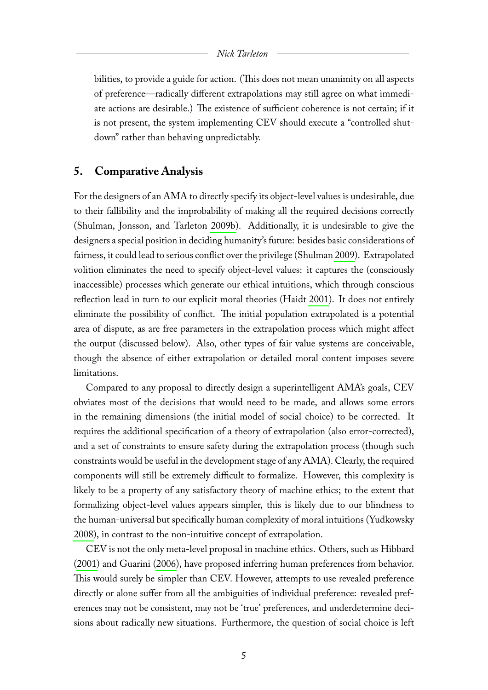#### *Nick Tarleton*

bilities, to provide a guide for action. (This does not mean unanimity on all aspects of preference—radically different extrapolations may still agree on what immediate actions are desirable.) The existence of sufficient coherence is not certain; if it is not present, the system implementing CEV should execute a "controlled shutdown" rather than behaving unpredictably.

#### **5. Comparative Analysis**

For the designers of an AMA to directly specify its object-level values is undesirable, due to their fallibility and the improbability of making all the required decisions correctly (Shulman, Jonsson, and Tarleton [2009b\)](#page-8-7). Additionally, it is undesirable to give the designers a special position in deciding humanity's future: besides basic considerations of fairness, it could lead to serious conflict over the privilege (Shulman [2009\)](#page-8-12). Extrapolated volition eliminates the need to specify object-level values: it captures the (consciously inaccessible) processes which generate our ethical intuitions, which through conscious reflection lead in turn to our explicit moral theories (Haidt [2001\)](#page-8-9). It does not entirely eliminate the possibility of conflict. The initial population extrapolated is a potential area of dispute, as are free parameters in the extrapolation process which might affect the output (discussed below). Also, other types of fair value systems are conceivable, though the absence of either extrapolation or detailed moral content imposes severe limitations.

Compared to any proposal to directly design a superintelligent AMA's goals, CEV obviates most of the decisions that would need to be made, and allows some errors in the remaining dimensions (the initial model of social choice) to be corrected. It requires the additional specification of a theory of extrapolation (also error-corrected), and a set of constraints to ensure safety during the extrapolation process (though such constraints would be useful in the development stage of any AMA). Clearly, the required components will still be extremely difficult to formalize. However, this complexity is likely to be a property of any satisfactory theory of machine ethics; to the extent that formalizing object-level values appears simpler, this is likely due to our blindness to the human-universal but specifically human complexity of moral intuitions (Yudkowsky [2008\)](#page-9-1), in contrast to the non-intuitive concept of extrapolation.

CEV is not the only meta-level proposal in machine ethics. Others, such as Hibbard [\(2001\)](#page-8-13) and Guarini [\(2006\)](#page-8-14), have proposed inferring human preferences from behavior. This would surely be simpler than CEV. However, attempts to use revealed preference directly or alone suffer from all the ambiguities of individual preference: revealed preferences may not be consistent, may not be 'true' preferences, and underdetermine decisions about radically new situations. Furthermore, the question of social choice is left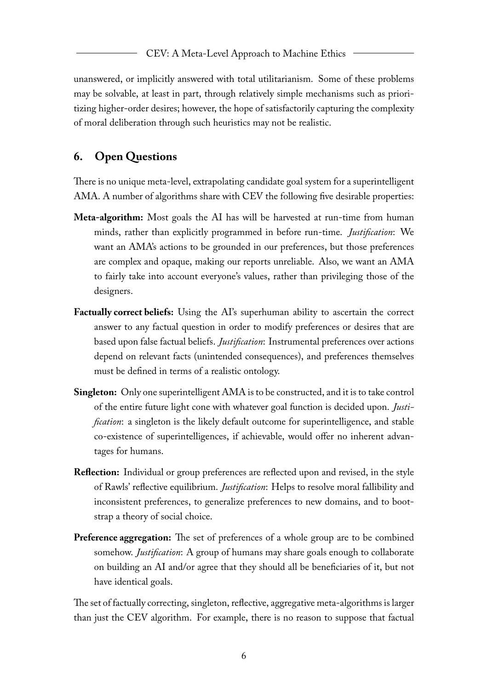unanswered, or implicitly answered with total utilitarianism. Some of these problems may be solvable, at least in part, through relatively simple mechanisms such as prioritizing higher-order desires; however, the hope of satisfactorily capturing the complexity of moral deliberation through such heuristics may not be realistic.

# **6. Open Questions**

There is no unique meta-level, extrapolating candidate goal system for a superintelligent AMA. A number of algorithms share with CEV the following five desirable properties:

- **Meta-algorithm:** Most goals the AI has will be harvested at run-time from human minds, rather than explicitly programmed in before run-time. *Justification*: We want an AMA's actions to be grounded in our preferences, but those preferences are complex and opaque, making our reports unreliable. Also, we want an AMA to fairly take into account everyone's values, rather than privileging those of the designers.
- **Factually correct beliefs:** Using the AI's superhuman ability to ascertain the correct answer to any factual question in order to modify preferences or desires that are based upon false factual beliefs. *Justification*: Instrumental preferences over actions depend on relevant facts (unintended consequences), and preferences themselves must be defined in terms of a realistic ontology.
- **Singleton:** Only one superintelligent AMA is to be constructed, and it is to take control of the entire future light cone with whatever goal function is decided upon. *Justification*: a singleton is the likely default outcome for superintelligence, and stable co-existence of superintelligences, if achievable, would offer no inherent advantages for humans.
- **Reflection:** Individual or group preferences are reflected upon and revised, in the style of Rawls' reflective equilibrium. *Justification*: Helps to resolve moral fallibility and inconsistent preferences, to generalize preferences to new domains, and to bootstrap a theory of social choice.
- **Preference aggregation:** The set of preferences of a whole group are to be combined somehow. *Justification*: A group of humans may share goals enough to collaborate on building an AI and/or agree that they should all be beneficiaries of it, but not have identical goals.

The set of factually correcting, singleton, reflective, aggregative meta-algorithms is larger than just the CEV algorithm. For example, there is no reason to suppose that factual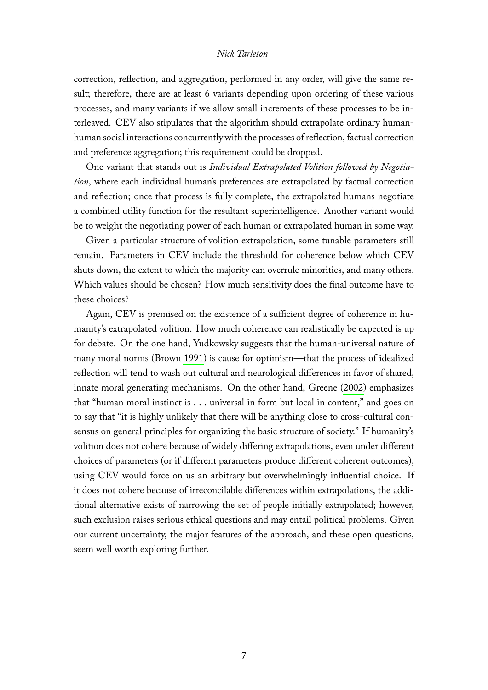#### *Nick Tarleton*

correction, reflection, and aggregation, performed in any order, will give the same result; therefore, there are at least 6 variants depending upon ordering of these various processes, and many variants if we allow small increments of these processes to be interleaved. CEV also stipulates that the algorithm should extrapolate ordinary humanhuman social interactions concurrently with the processes of reflection, factual correction and preference aggregation; this requirement could be dropped.

One variant that stands out is *Individual Extrapolated Volition followed by Negotiation*, where each individual human's preferences are extrapolated by factual correction and reflection; once that process is fully complete, the extrapolated humans negotiate a combined utility function for the resultant superintelligence. Another variant would be to weight the negotiating power of each human or extrapolated human in some way.

Given a particular structure of volition extrapolation, some tunable parameters still remain. Parameters in CEV include the threshold for coherence below which CEV shuts down, the extent to which the majority can overrule minorities, and many others. Which values should be chosen? How much sensitivity does the final outcome have to these choices?

Again, CEV is premised on the existence of a sufficient degree of coherence in humanity's extrapolated volition. How much coherence can realistically be expected is up for debate. On the one hand, Yudkowsky suggests that the human-universal nature of many moral norms (Brown [1991\)](#page-8-15) is cause for optimism—that the process of idealized reflection will tend to wash out cultural and neurological differences in favor of shared, innate moral generating mechanisms. On the other hand, Greene [\(2002\)](#page-8-8) emphasizes that "human moral instinct is . . . universal in form but local in content," and goes on to say that "it is highly unlikely that there will be anything close to cross-cultural consensus on general principles for organizing the basic structure of society." If humanity's volition does not cohere because of widely differing extrapolations, even under different choices of parameters (or if different parameters produce different coherent outcomes), using CEV would force on us an arbitrary but overwhelmingly influential choice. If it does not cohere because of irreconcilable differences within extrapolations, the additional alternative exists of narrowing the set of people initially extrapolated; however, such exclusion raises serious ethical questions and may entail political problems. Given our current uncertainty, the major features of the approach, and these open questions, seem well worth exploring further.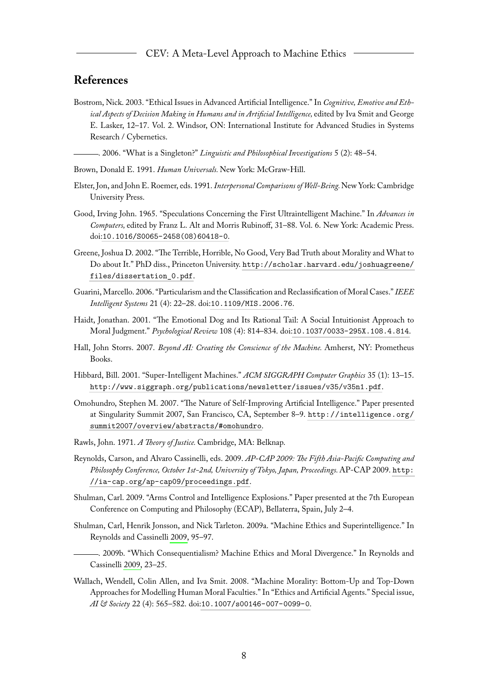## **References**

<span id="page-8-1"></span>Bostrom, Nick. 2003. "Ethical Issues in Advanced Artificial Intelligence." In *Cognitive, Emotive and Ethical Aspects of Decision Making in Humans and in Artificial Intelligence,* edited by Iva Smit and George E. Lasker, 12–17. Vol. 2. Windsor, ON: International Institute for Advanced Studies in Systems Research / Cybernetics.

<span id="page-8-6"></span>. 2006. "What is a Singleton?" *Linguistic and Philosophical Investigations* 5 (2): 48–54.

- <span id="page-8-15"></span>Brown, Donald E. 1991. *Human Universals.* New York: McGraw-Hill.
- <span id="page-8-10"></span>Elster, Jon, and John E. Roemer, eds. 1991. *Interpersonal Comparisons of Well-Being.*New York: Cambridge University Press.
- <span id="page-8-4"></span>Good, Irving John. 1965. "Speculations Concerning the First Ultraintelligent Machine." In *Advances in Computers,* edited by Franz L. Alt and Morris Rubinoff, 31–88. Vol. 6. New York: Academic Press. doi:[10.1016/S0065-2458\(08\)60418-0](http://dx.doi.org/10.1016/S0065-2458(08)60418-0).
- <span id="page-8-8"></span>Greene, Joshua D. 2002. "The Terrible, Horrible, No Good, Very Bad Truth about Morality and What to Do about It." PhD diss., Princeton University. [http://scholar.harvard.edu/joshuagreene/](http://scholar.harvard.edu/joshuagreene/files/dissertation_0.pdf) [files/dissertation\\_0.pdf](http://scholar.harvard.edu/joshuagreene/files/dissertation_0.pdf).
- <span id="page-8-14"></span>Guarini, Marcello. 2006. "Particularism and the Classification and Reclassification of Moral Cases."*IEEE Intelligent Systems* 21 (4): 22–28. doi:[10.1109/MIS.2006.76](http://dx.doi.org/10.1109/MIS.2006.76).
- <span id="page-8-9"></span>Haidt, Jonathan. 2001. "The Emotional Dog and Its Rational Tail: A Social Intuitionist Approach to Moral Judgment." *Psychological Review* 108 (4): 814–834. doi:[10.1037/0033-295X.108.4.814](http://dx.doi.org/10.1037/0033-295X.108.4.814).
- <span id="page-8-2"></span>Hall, John Storrs. 2007. *Beyond AI: Creating the Conscience of the Machine.* Amherst, NY: Prometheus Books.
- <span id="page-8-13"></span>Hibbard, Bill. 2001. "Super-Intelligent Machines." *ACM SIGGRAPH Computer Graphics* 35 (1): 13–15. <http://www.siggraph.org/publications/newsletter/issues/v35/v35n1.pdf>.
- <span id="page-8-5"></span>Omohundro, Stephen M. 2007. "The Nature of Self-Improving Artificial Intelligence." Paper presented at Singularity Summit 2007, San Francisco, CA, September 8–9. [http://intelligence.org/](http://intelligence.org/summit2007/overview/abstracts/#omohundro) [summit2007/overview/abstracts/#omohundro](http://intelligence.org/summit2007/overview/abstracts/#omohundro).
- <span id="page-8-11"></span>Rawls, John. 1971. *A Theory of Justice.* Cambridge, MA: Belknap.
- <span id="page-8-16"></span>Reynolds, Carson, and Alvaro Cassinelli, eds. 2009. *AP-CAP 2009: The Fifth Asia-Pacific Computing and Philosophy Conference, October 1st-2nd, University of Tokyo, Japan, Proceedings.*AP-CAP 2009. [http:](http://ia-cap.org/ap-cap09/proceedings.pdf) [//ia-cap.org/ap-cap09/proceedings.pdf](http://ia-cap.org/ap-cap09/proceedings.pdf).
- <span id="page-8-12"></span>Shulman, Carl. 2009. "Arms Control and Intelligence Explosions." Paper presented at the 7th European Conference on Computing and Philosophy (ECAP), Bellaterra, Spain, July 2–4.
- <span id="page-8-3"></span>Shulman, Carl, Henrik Jonsson, and Nick Tarleton. 2009a. "Machine Ethics and Superintelligence." In Reynolds and Cassinelli [2009,](#page-8-16) 95–97.
- <span id="page-8-7"></span>. 2009b. "Which Consequentialism? Machine Ethics and Moral Divergence." In Reynolds and Cassinelli [2009,](#page-8-16) 23–25.
- <span id="page-8-0"></span>Wallach, Wendell, Colin Allen, and Iva Smit. 2008. "Machine Morality: Bottom-Up and Top-Down Approaches for Modelling Human Moral Faculties." In "Ethics and Artificial Agents." Special issue, *AI & Society* 22 (4): 565–582. doi:[10.1007/s00146-007-0099-0](http://dx.doi.org/10.1007/s00146-007-0099-0).